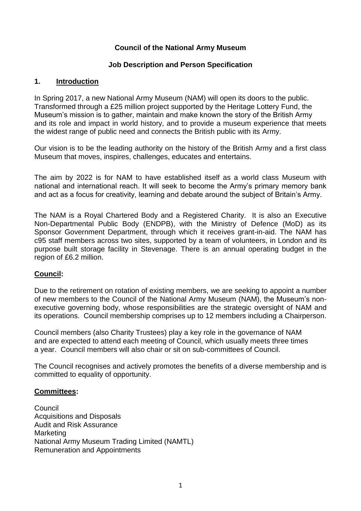## **Council of the National Army Museum**

#### **Job Description and Person Specification**

#### **1. Introduction**

In Spring 2017, a new National Army Museum (NAM) will open its doors to the public. Transformed through a £25 million project supported by the Heritage Lottery Fund, the Museum's mission is to gather, maintain and make known the story of the British Army and its role and impact in world history, and to provide a museum experience that meets the widest range of public need and connects the British public with its Army.

Our vision is to be the leading authority on the history of the British Army and a first class Museum that moves, inspires, challenges, educates and entertains.

The aim by 2022 is for NAM to have established itself as a world class Museum with national and international reach. It will seek to become the Army's primary memory bank and act as a focus for creativity, learning and debate around the subject of Britain's Army.

The NAM is a Royal Chartered Body and a Registered Charity. It is also an Executive Non-Departmental Public Body (ENDPB), with the Ministry of Defence (MoD) as its Sponsor Government Department, through which it receives grant-in-aid. The NAM has c95 staff members across two sites, supported by a team of volunteers, in London and its purpose built storage facility in Stevenage. There is an annual operating budget in the region of £6.2 million.

## **Council:**

Due to the retirement on rotation of existing members, we are seeking to appoint a number of new members to the Council of the National Army Museum (NAM), the Museum's nonexecutive governing body, whose responsibilities are the strategic oversight of NAM and its operations. Council membership comprises up to 12 members including a Chairperson.

Council members (also Charity Trustees) play a key role in the governance of NAM and are expected to attend each meeting of Council, which usually meets three times a year. Council members will also chair or sit on sub-committees of Council.

The Council recognises and actively promotes the benefits of a diverse membership and is committed to equality of opportunity.

#### **Committees:**

**Council** Acquisitions and Disposals Audit and Risk Assurance Marketing National Army Museum Trading Limited (NAMTL) Remuneration and Appointments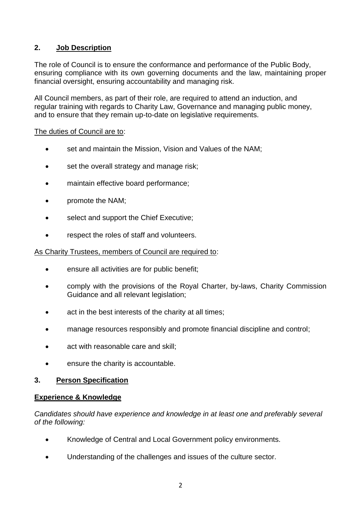# **2. Job Description**

The role of Council is to ensure the conformance and performance of the Public Body, ensuring compliance with its own governing documents and the law, maintaining proper financial oversight, ensuring accountability and managing risk.

All Council members, as part of their role, are required to attend an induction, and regular training with regards to Charity Law, Governance and managing public money, and to ensure that they remain up-to-date on legislative requirements.

### The duties of Council are to:

- set and maintain the Mission, Vision and Values of the NAM;
- set the overall strategy and manage risk;
- maintain effective board performance;
- promote the NAM;
- select and support the Chief Executive;
- respect the roles of staff and volunteers.

### As Charity Trustees, members of Council are required to:

- ensure all activities are for public benefit;
- comply with the provisions of the Royal Charter, by-laws, Charity Commission Guidance and all relevant legislation;
- act in the best interests of the charity at all times;
- manage resources responsibly and promote financial discipline and control;
- act with reasonable care and skill;
- ensure the charity is accountable.

## **3. Person Specification**

## **Experience & Knowledge**

*Candidates should have experience and knowledge in at least one and preferably several of the following:*

- Knowledge of Central and Local Government policy environments.
- Understanding of the challenges and issues of the culture sector.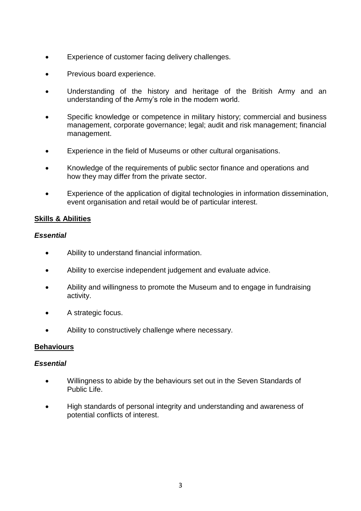- Experience of customer facing delivery challenges.
- Previous board experience.
- Understanding of the history and heritage of the British Army and an understanding of the Army's role in the modern world.
- Specific knowledge or competence in military history; commercial and business management, corporate governance; legal; audit and risk management; financial management.
- Experience in the field of Museums or other cultural organisations.
- Knowledge of the requirements of public sector finance and operations and how they may differ from the private sector.
- Experience of the application of digital technologies in information dissemination, event organisation and retail would be of particular interest.

#### **Skills & Abilities**

#### *Essential*

- Ability to understand financial information.
- Ability to exercise independent judgement and evaluate advice.
- Ability and willingness to promote the Museum and to engage in fundraising activity.
- A strategic focus.
- Ability to constructively challenge where necessary.

#### **Behaviours**

#### *Essential*

- Willingness to abide by the behaviours set out in the Seven Standards of Public Life.
- High standards of personal integrity and understanding and awareness of potential conflicts of interest.